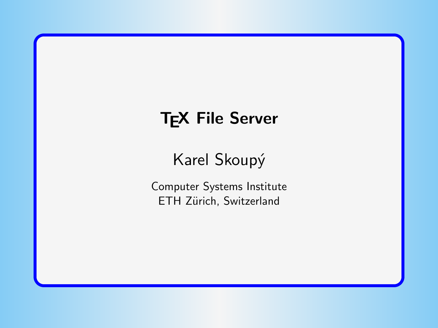# **TEX File Server**

# Karel Skoupý

Computer Systems Institute ETH Zürich, Switzerland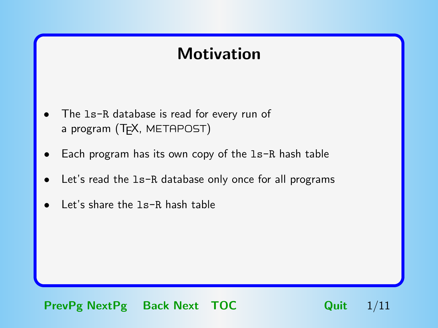#### Motivation

- <span id="page-1-0"></span>The 1s-R database is read for every run of a program (T<sub>F</sub>X, METAPOST)
- Each program has its own copy of the  $ls-R$  hash table
- Let's read the 1s-R database only once for all programs
- Let's share the 1s-R hash table

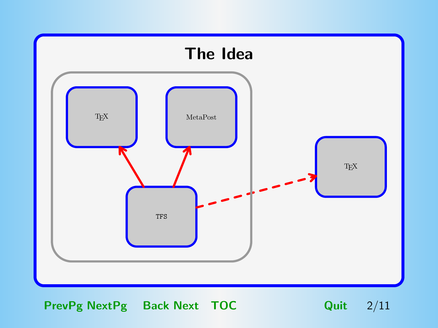<span id="page-2-0"></span>

PrevPg NextPg Back Next [TOC](#page-11-0) Quit 2/11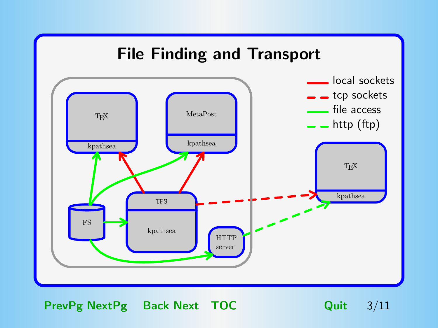<span id="page-3-0"></span>

PrevPg NextPg Back Next [TOC](#page-11-0) Quit 3/11

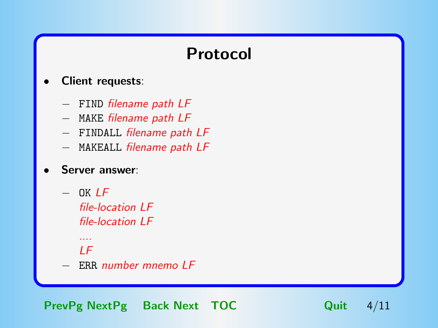### Protocol

#### <span id="page-4-0"></span>Client requests:

- − FIND filename path LF
- − MAKE filename path LF
- − FINDALL filename path LF
- − MAKEALL filename path LF

#### Server answer:

 $-$  OK  $LF$ file-location LF file-location LF

#### ....  $IF$

− ERR number mnemo LF

PrevPg NextPg Back Next [TOC](#page-11-0) Quit 4/11

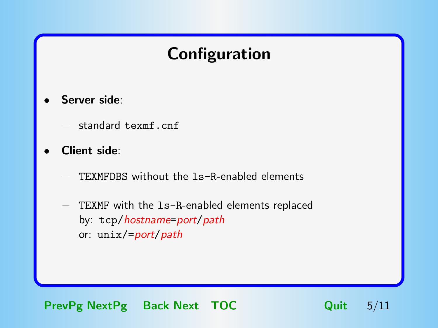# Configuration

- <span id="page-5-0"></span>Server side:
	- − standard texmf.cnf
- Client side:
	- TEXMFDBS without the 1s-R-enabled elements
	- − TEXMF with the ls-R-enabled elements replaced by: tcp/hostname=port/path or: unix/=port/path

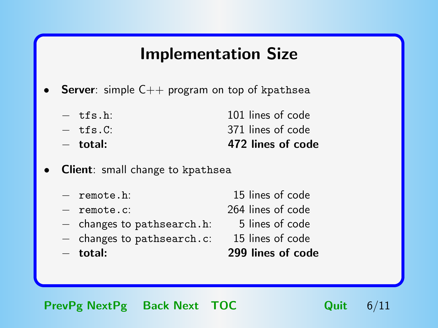#### Implementation Size

- <span id="page-6-0"></span>**Server**: simple  $C++$  program on top of kpathsea
	- − tfs.h: 101 lines of code − tfs.C: 371 lines of code − total: 472 lines of code
- **Client**: small change to kpathsea
	- − remote.h: 15 lines of code
	-
	- − changes to pathsearch.h: 5 lines of code
	- − changes to pathsearch.c: 15 lines of code
	-
- 
- − remote.c: 264 lines of code
	-
	-
- − total: 299 lines of code

PrevPg NextPg Back Next [TOC](#page-11-0) Quit 6/11

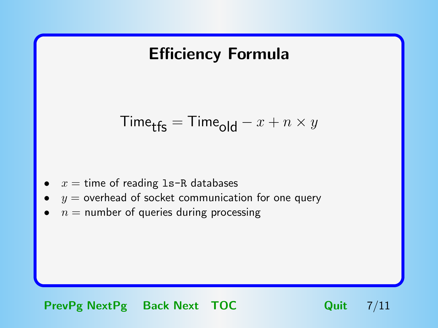#### <span id="page-7-0"></span>Efficiency Formula

$$
\mathsf{Time}_{\mathsf{tfs}} = \mathsf{Time}_{\mathsf{old}} - x + n \times y
$$

- $x =$  time of reading  $1s-R$  databases
- $y =$  overhead of socket communication for one query
- $n =$  number of queries during processing

PrevPg NextPg Back Next [TOC](#page-11-0) Quit 7/11

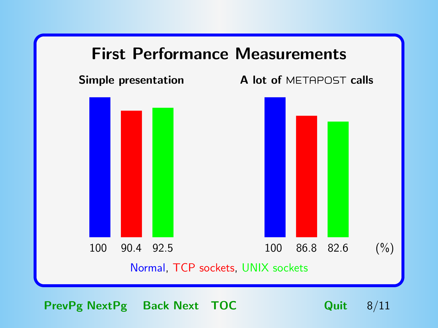

<span id="page-8-0"></span>

PrevPg NextPg Back Next [TOC](#page-11-0) Quit 8/11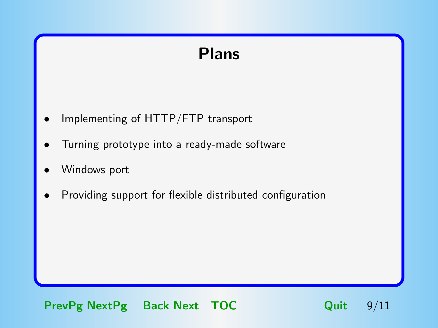## Plans

- <span id="page-9-0"></span>• Implementing of HTTP/FTP transport
- Turning prototype into a ready-made software
- Windows port
- Providing support for flexible distributed configuration

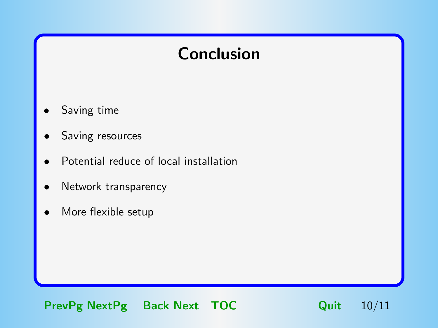## Conclusion

- <span id="page-10-0"></span>Saving time
- Saving resources
- Potential reduce of local installation
- Network transparency
- More flexible setup